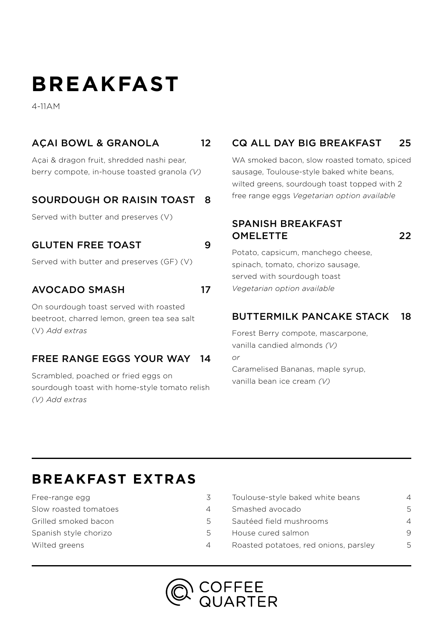# **BREAKFAST**

4-11AM

#### AÇAI BOWL & GRANOLA 12

Açai & dragon fruit, shredded nashi pear, berry compote, in-house toasted granola *(V)*

#### SOURDOUGH OR RAISIN TOAST 8

Served with butter and preserves (V)

#### GLUTEN FREE TOAST 9

Served with butter and preserves (GF) (V)

#### AVOCADO SMASH 17

On sourdough toast served with roasted beetroot, charred lemon, green tea sea salt (V) *Add extras*

#### FREE RANGE EGGS YOUR WAY 14

Scrambled, poached or fried eggs on sourdough toast with home-style tomato relish *(V) Add extras*

#### CQ ALL DAY BIG BREAKFAST 25

WA smoked bacon, slow roasted tomato, spiced sausage, Toulouse-style baked white beans, wilted greens, sourdough toast topped with 2 free range eggs *Vegetarian option available*

#### SPANISH BREAKFAST OMELETTE 22

Potato, capsicum, manchego cheese, spinach, tomato, chorizo sausage, served with sourdough toast *Vegetarian option available*

#### BUTTERMILK PANCAKE STACK 18

Forest Berry compote, mascarpone, vanilla candied almonds *(V) or*  Caramelised Bananas, maple syrup, vanilla bean ice cream *(V)*

### **BREAKFAST EXTRAS**

| Free-range egg        |  |
|-----------------------|--|
| Slow roasted tomatoes |  |
| Grilled smoked bacon  |  |
| Spanish style chorizo |  |

Wilted greens 4

| Toulouse-style baked white beans      |   |
|---------------------------------------|---|
| Smashed avocado                       | 5 |
| Sautéed field mushrooms               | 4 |
| House cured salmon                    | 9 |
| Roasted potatoes, red onions, parsley | 5 |
|                                       |   |

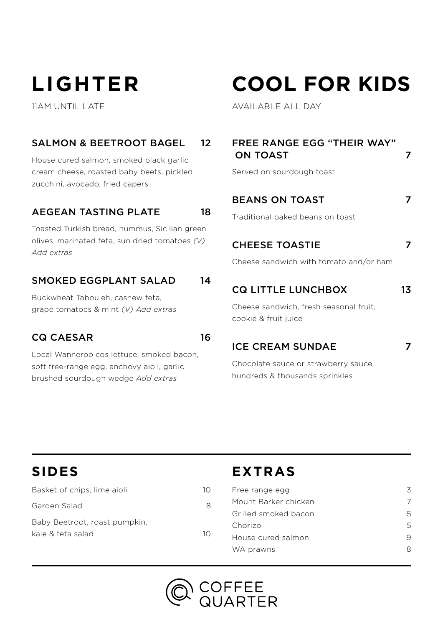# **LIGHTER**

11AM UNTIL LATE

### SALMON & BEETROOT BAGEL 12

House cured salmon, smoked black garlic cream cheese, roasted baby beets, pickled zucchini, avocado, fried capers

#### AEGEAN TASTING PLATE 18

Toasted Turkish bread, hummus, Sicilian green olives, marinated feta, sun dried tomatoes *(V) Add extras* 

#### SMOKED EGGPLANT SALAD 14

Buckwheat Tabouleh, cashew feta, grape tomatoes & mint *(V) Add extras* 

#### CQ CAESAR 16

Local Wanneroo cos lettuce, smoked bacon, soft free-range egg, anchovy aioli, garlic brushed sourdough wedge *Add extras*

# **COOL FOR KIDS**

AVAILABLE ALL DAY

| FREE RANGE EGG "THEIR WAY"<br><b>ON TOAST</b>                          |    |
|------------------------------------------------------------------------|----|
| Served on sourdough toast                                              |    |
| <b>BEANS ON TOAST</b>                                                  |    |
| Traditional baked beans on toast                                       |    |
| <b>CHEESE TOASTIE</b>                                                  |    |
| Cheese sandwich with tomato and/or ham                                 |    |
| <b>CQ LITTLE LUNCHBOX</b>                                              | 13 |
| Cheese sandwich, fresh seasonal fruit,<br>cookie & fruit juice         |    |
| <b>ICE CREAM SUNDAE</b>                                                |    |
| Chocolate sauce or strawberry sauce,<br>hundreds & thousands sprinkles |    |

| Basket of chips, lime aioli   | 1Ο |
|-------------------------------|----|
| Garden Salad                  | R  |
| Baby Beetroot, roast pumpkin, |    |
| kale & feta salad             | 1Ο |
|                               |    |

## **EXTRAS**

| Free range egg       | ζ. |
|----------------------|----|
| Mount Barker chicken |    |
| Grilled smoked bacon | 5  |
| Chorizo              | 5  |
| House cured salmon   | q  |
| WA prawns            | 8  |

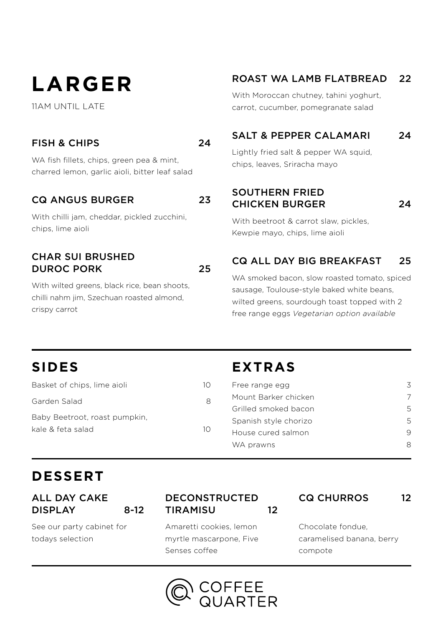# **LARGER**

11AM UNTIL LATE

#### FISH & CHIPS 24

WA fish fillets, chips, green pea & mint, charred lemon, garlic aioli, bitter leaf salad

#### CQ ANGUS BURGER 23

With chilli jam, cheddar, pickled zucchini, chips, lime aioli

#### CHAR SUI BRUSHED DUROC PORK 25

With wilted greens, black rice, bean shoots, chilli nahm jim, Szechuan roasted almond, crispy carrot

#### ROAST WA LAMB FLATBREAD 22

With Moroccan chutney, tahini yoghurt, carrot, cucumber, pomegranate salad

#### SALT & PEPPER CALAMARI 24

Lightly fried salt & pepper WA squid, chips, leaves, Sriracha mayo

SOUTHERN FRIED CHICKEN BURGER 24

With beetroot & carrot slaw, pickles, Kewpie mayo, chips, lime aioli

#### CQ ALL DAY BIG BREAKFAST 25

WA smoked bacon, slow roasted tomato, spiced sausage, Toulouse-style baked white beans, wilted greens, sourdough toast topped with 2 free range eggs *Vegetarian option available*

## **SIDES**

| Basket of chips, lime aioli   | 10 |
|-------------------------------|----|
| Garden Salad                  | R  |
| Baby Beetroot, roast pumpkin, |    |
| kale & feta salad             | 10 |
|                               |    |

## **EXTRAS**

| Free range egg        | ζ |
|-----------------------|---|
| Mount Barker chicken  |   |
| Grilled smoked bacon  | 5 |
| Spanish style chorizo | 5 |
| House cured salmon    | q |
| WA prawns             | 8 |
|                       |   |

## **DESSERT**

ALL DAY CAKE DISPLAY 8-12

See our party cabinet for todays selection

#### DECONSTRUCTED TIRAMISU 12

Amaretti cookies, lemon myrtle mascarpone, Five Senses coffee

CQ CHURROS 12

Chocolate fondue, caramelised banana, berry compote

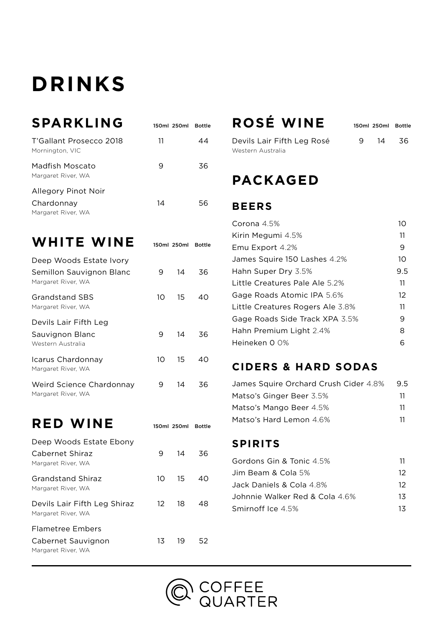# **DRINKS**

| <b>SPARKLING</b>                                        | 150ml 250ml | Bottle |
|---------------------------------------------------------|-------------|--------|
| T'Gallant Prosecco 2018<br>Mornington, VIC              | 11          |        |
| Madfish Moscato<br>Margaret River, WA                   | 9           | 36     |
| Allegory Pinot Noir<br>Chardonnay<br>Margaret River, WA | 14          | 56     |

WHITE WINE 150ml 250ml Bottle

| Deep Woods Estate Ivory<br>Semillon Sauvignon Blanc<br>Margaret River, WA | 9  | 14 | 36 |
|---------------------------------------------------------------------------|----|----|----|
| Grandstand SBS<br>Margaret River, WA                                      | 10 | 15 | 40 |
| Devils Lair Fifth Leg<br>Sauvignon Blanc<br>Western Australia             | 9  | 14 | 36 |
| Icarus Chardonnay<br>Margaret River, WA                                   | 10 | 15 | 40 |
| Weird Science Chardonnay<br>Margaret River, WA                            | 9  | 14 | 36 |

**RED WINE** 150ml 250ml Bottle

| Deep Woods Estate Ebony                            |     |    |    |
|----------------------------------------------------|-----|----|----|
| Cabernet Shiraz<br>Margaret River, WA              | 9   | 14 | 36 |
| Grandstand Shiraz<br>Margaret River, WA            | 10  | 15 | 40 |
| Devils Lair Fifth Leg Shiraz<br>Margaret River, WA | 12. | 18 | 48 |
| Flametree Embers                                   |     |    |    |
| Cabernet Sauvignon<br>Margaret River, WA           | 13  | 19 | 52 |

# **ROSÉ WINE** 150ml 250ml Bottle

| Devils Lair Fifth Leg Rosé |
|----------------------------|
| Western Australia          |

9 14 36

## **PACKAGED**

#### **BEERS**

| Corona $4.5%$                    | 10  |
|----------------------------------|-----|
| Kirin Megumi 4.5%                | 11  |
| Emu Export 4.2%                  | 9   |
| James Squire 150 Lashes 4.2%     | 10  |
| Hahn Super Dry 3.5%              | 9.5 |
| Little Creatures Pale Ale 5.2%   | 11  |
| Gage Roads Atomic IPA 5.6%       | 12  |
| Little Creatures Rogers Ale 3.8% | 11  |
| Gage Roads Side Track XPA 3.5%   | 9   |
| Hahn Premium Light 2.4%          | 8   |
| Heineken 0 0%                    | 6   |

#### **CIDERS & HARD SODAS**

| James Squire Orchard Crush Cider 4.8% | 9.5 |
|---------------------------------------|-----|
| Matso's Ginger Beer 3.5%              | 11  |
| Matso's Mango Beer 4.5%               | 11  |
| Matso's Hard Lemon 4.6%               | 11  |

#### **SPIRITS**

| Gordons Gin & Tonic 4.5%       | 11 |
|--------------------------------|----|
| Jim Beam & Cola 5%             | 12 |
| Jack Daniels & Cola 4.8%       | 12 |
| Johnnie Walker Red & Cola 4.6% | 13 |
| Smirnoff Ice 4.5%              | 13 |